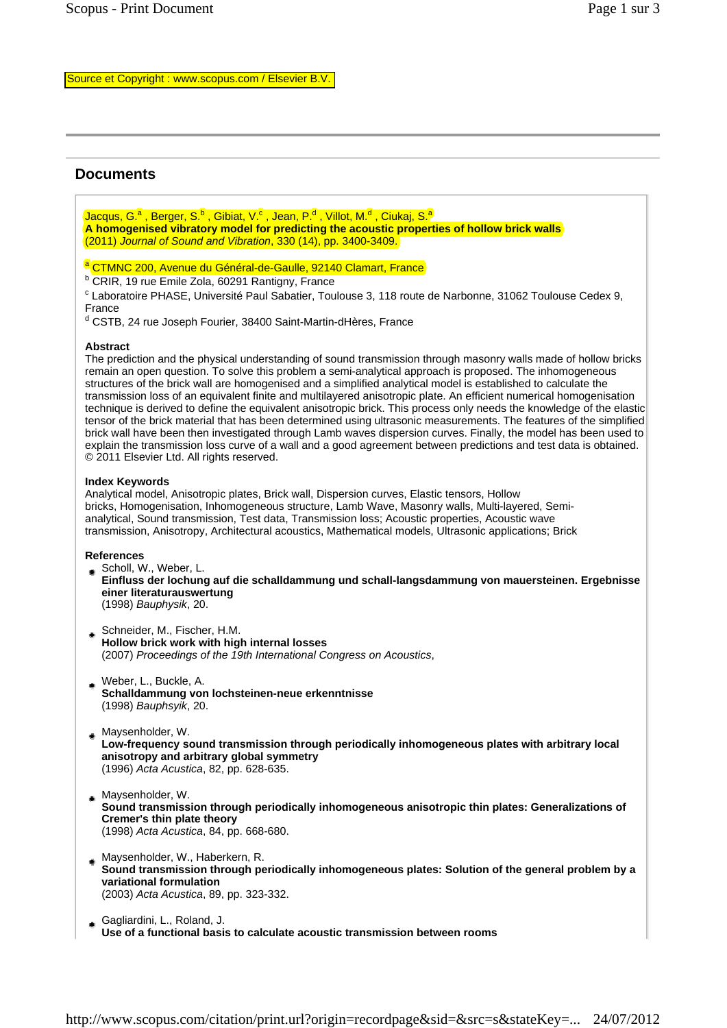# **Documents**

Jacqus, G.ª , Berger, S.<sup>b</sup> , Gibiat, V.<sup>c</sup> , Jean, P.<sup>d</sup> , Villot, M.<sup>d</sup> , Ciukaj, S.<sup>a</sup> **A homogenised vibratory model for predicting the acoustic properties of hollow brick walls** (2011) *Journal of Sound and Vibration*, 330 (14), pp. 3400-3409.

## <sup>a</sup> CTMNC 200, Avenue du Général-de-Gaulle, 92140 Clamart, France

<sup>b</sup> CRIR, 19 rue Emile Zola, 60291 Rantigny, France

<sup>c</sup> Laboratoire PHASE, Université Paul Sabatier, Toulouse 3, 118 route de Narbonne, 31062 Toulouse Cedex 9, France

<sup>d</sup> CSTB, 24 rue Joseph Fourier, 38400 Saint-Martin-dHères, France

#### **Abstract**

The prediction and the physical understanding of sound transmission through masonry walls made of hollow bricks remain an open question. To solve this problem a semi-analytical approach is proposed. The inhomogeneous structures of the brick wall are homogenised and a simplified analytical model is established to calculate the transmission loss of an equivalent finite and multilayered anisotropic plate. An efficient numerical homogenisation technique is derived to define the equivalent anisotropic brick. This process only needs the knowledge of the elastic tensor of the brick material that has been determined using ultrasonic measurements. The features of the simplified brick wall have been then investigated through Lamb waves dispersion curves. Finally, the model has been used to explain the transmission loss curve of a wall and a good agreement between predictions and test data is obtained. © 2011 Elsevier Ltd. All rights reserved. Source of Capyronic www.scopus.com/citation/print.url?origin=record=bage<br> **Decision-Market Capyronic Capyronic Capyronic Capyronic Capyronic Capyronic Capyronic Capyronic Capyronic Capyronic Capyronic Capyronic Capyronic C** 

### **Index Keywords**

Analytical model, Anisotropic plates, Brick wall, Dispersion curves, Elastic tensors, Hollow bricks, Homogenisation, Inhomogeneous structure, Lamb Wave, Masonry walls, Multi-layered, Semianalytical, Sound transmission, Test data, Transmission loss; Acoustic properties, Acoustic wave transmission, Anisotropy, Architectural acoustics, Mathematical models, Ultrasonic applications; Brick

#### **References**

- Scholl, W., Weber, L. **Einfluss der lochung auf die schalldammung und schall-langsdammung von mauersteinen. Ergebnisse einer literaturauswertung**  (1998) *Bauphysik*, 20.
- Schneider, M., Fischer, H.M. **Hollow brick work with high internal losses**  (2007) *Proceedings of the 19th International Congress on Acoustics*,
- Weber, L., Buckle, A. **Schalldammung von lochsteinen-neue erkenntnisse**  (1998) *Bauphsyik*, 20.
- **Maysenholder, W.**
- **Low-frequency sound transmission through periodically inhomogeneous plates with arbitrary local anisotropy and arbitrary global symmetry**  (1996) *Acta Acustica*, 82, pp. 628-635.
- Maysenholder, W. **Sound transmission through periodically inhomogeneous anisotropic thin plates: Generalizations of Cremer's thin plate theory**  (1998) *Acta Acustica*, 84, pp. 668-680.
- Maysenholder, W., Haberkern, R. **Sound transmission through periodically inhomogeneous plates: Solution of the general problem by a variational formulation**  (2003) *Acta Acustica*, 89, pp. 323-332.
- Gagliardini, L., Roland, J. **Use of a functional basis to calculate acoustic transmission between rooms**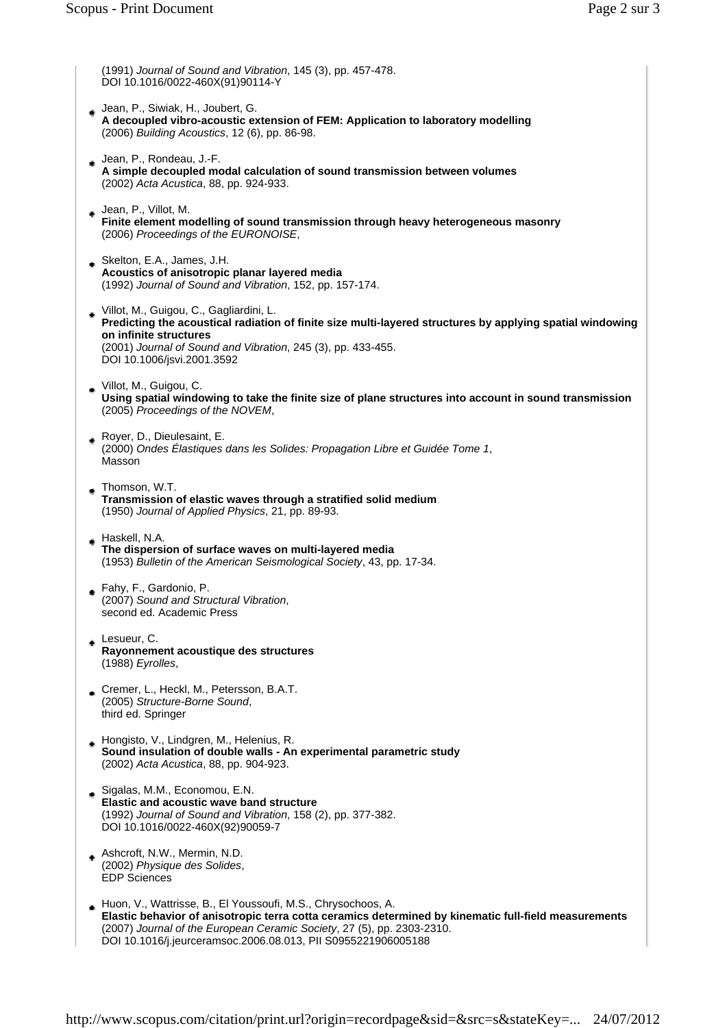(1991) *Journal of Sound and Vibration*, 145 (3), pp. 457-478. DOI 10.1016/0022-460X(91)90114-Y

- Jean, P., Siwiak, H., Joubert, G. **A decoupled vibro-acoustic extension of FEM: Application to laboratory modelling**  (2006) *Building Acoustics*, 12 (6), pp. 86-98.
- Jean, P., Rondeau, J.-F. **A simple decoupled modal calculation of sound transmission between volumes**  (2002) *Acta Acustica*, 88, pp. 924-933.
- Jean, P., Villot, M. **Finite element modelling of sound transmission through heavy heterogeneous masonry**  (2006) *Proceedings of the EURONOISE*,
- Skelton, E.A., James, J.H. **Acoustics of anisotropic planar layered media**  (1992) *Journal of Sound and Vibration*, 152, pp. 157-174.
- Villot, M., Guigou, C., Gagliardini, L. **Predicting the acoustical radiation of finite size multi-layered structures by applying spatial windowing on infinite structures**  (2001) *Journal of Sound and Vibration*, 245 (3), pp. 433-455. DOI 10.1006/jsvi.2001.3592
- Villot, M., Guigou, C. **Using spatial windowing to take the finite size of plane structures into account in sound transmission**  (2005) *Proceedings of the NOVEM*,
- Royer, D., Dieulesaint, E. (2000) *Ondes Élastiques dans les Solides: Propagation Libre et Guidée Tome 1*, Masson
- Thomson, W.T. ۰ **Transmission of elastic waves through a stratified solid medium**  (1950) *Journal of Applied Physics*, 21, pp. 89-93.
- Haskell, N.A. **The dispersion of surface waves on multi-layered media**  (1953) *Bulletin of the American Seismological Society*, 43, pp. 17-34.
- Fahy, F., Gardonio, P. (2007) *Sound and Structural Vibration*, second ed. Academic Press
- Lesueur, C. **Rayonnement acoustique des structures**  (1988) *Eyrolles*,
- Cremer, L., Heckl, M., Petersson, B.A.T. (2005) *Structure-Borne Sound*, third ed. Springer
- Hongisto, V., Lindgren, M., Helenius, R. **Sound insulation of double walls - An experimental parametric study**  (2002) *Acta Acustica*, 88, pp. 904-923.
- Sigalas, M.M., Economou, E.N. **Elastic and acoustic wave band structure**  (1992) *Journal of Sound and Vibration*, 158 (2), pp. 377-382. DOI 10.1016/0022-460X(92)90059-7
- Ashcroft, N.W., Mermin, N.D. (2002) *Physique des Solides*, EDP Sciences
- Huon, V., Wattrisse, B., El Youssoufi, M.S., Chrysochoos, A. **Elastic behavior of anisotropic terra cotta ceramics determined by kinematic full-field measurements**  (2007) *Journal of the European Ceramic Society*, 27 (5), pp. 2303-2310. DOI 10.1016/j.jeurceramsoc.2006.08.013, PII S0955221906005188